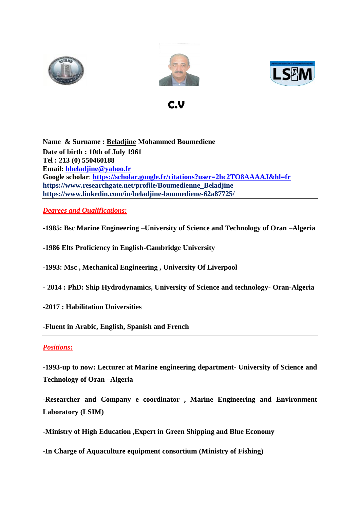





**C.V C.V** 

**Name & Surname : Beladjine Mohammed Boumediene Date of birth : 10th of July 1961 Tel : 213 (0) 550460188 Email: [bbeladjine@yahoo.fr](mailto:bbeladjine@yahoo.fr) Google scholar**: **<https://scholar.google.fr/citations?user=2hc2TO8AAAAJ&hl=fr> https://www.researchgate.net/profile/Boumedienne\_Beladjine https://www.linkedin.com/in/beladjine-boumediene-62a87725/**

# *Degrees and Qualifications:*

**-1985: Bsc Marine Engineering –University of Science and Technology of Oran –Algeria** 

**-1986 Elts Proficiency in English-Cambridge University**

**-1993: Msc , Mechanical Engineering , University Of Liverpool**

- **- 2014 : PhD: Ship Hydrodynamics, University of Science and technology- Oran-Algeria**
- **-2017 : Habilitation Universities**

**-Fluent in Arabic, English, Spanish and French**

#### *Positions***:**

**-1993-up to now: Lecturer at Marine engineering department- University of Science and Technology of Oran –Algeria**

**-Researcher and Company e coordinator , Marine Engineering and Environment Laboratory (LSIM)**

**-Ministry of High Education ,Expert in Green Shipping and Blue Economy**

**-In Charge of Aquaculture equipment consortium (Ministry of Fishing)**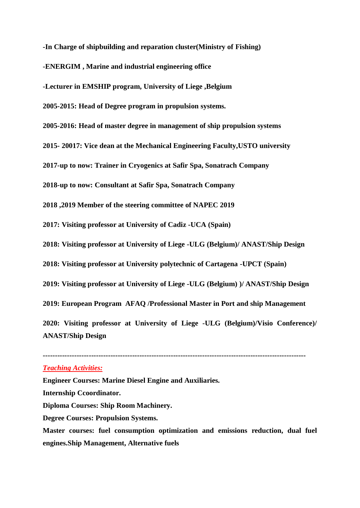**-In Charge of shipbuilding and reparation cluster(Ministry of Fishing)**

**-ENERGIM , Marine and industrial engineering office**

**-Lecturer in EMSHIP program, University of Liege ,Belgium**

**2005-2015: Head of Degree program in propulsion systems.**

**2005-2016: Head of master degree in management of ship propulsion systems** 

**2015- 20017: Vice dean at the Mechanical Engineering Faculty,USTO university**

**2017-up to now: Trainer in Cryogenics at Safir Spa, Sonatrach Company**

**2018-up to now: Consultant at Safir Spa, Sonatrach Company**

**2018 ,2019 Member of the steering committee of NAPEC 2019**

**2017: Visiting professor at University of Cadiz -UCA (Spain)**

**2018: Visiting professor at University of Liege -ULG (Belgium)/ ANAST/Ship Design**

**2018: Visiting professor at University polytechnic of Cartagena -UPCT (Spain)**

**2019: Visiting professor at University of Liege -ULG (Belgium) )/ ANAST/Ship Design**

**2019: European Program AFAQ /Professional Master in Port and ship Management**

**2020: Visiting professor at University of Liege -ULG (Belgium)/Visio Conference)/ ANAST/Ship Design**

**-------------------------------------------------------------------------------------------------------------**

#### *Teaching Activities:*

**Engineer Courses: Marine Diesel Engine and Auxiliaries. Internship Ccoordinator. Diploma Courses: Ship Room Machinery. Degree Courses: Propulsion Systems. Master courses: fuel consumption optimization and emissions reduction, dual fuel engines.Ship Management, Alternative fuels**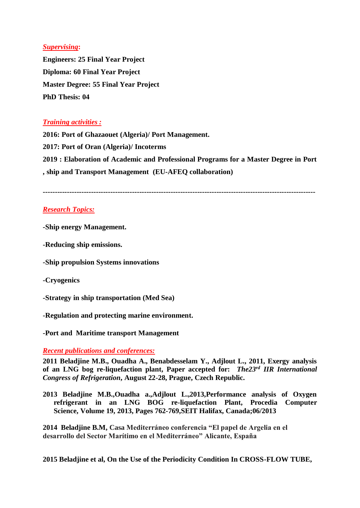## *Supervising***:**

**Engineers: 25 Final Year Project Diploma: 60 Final Year Project Master Degree: 55 Final Year Project PhD Thesis: 04**

## *Training activities :*

**2016: Port of Ghazaouet (Algeria)/ Port Management. 2017: Port of Oran (Algeria)/ Incoterms 2019 : Elaboration of Academic and Professional Programs for a Master Degree in Port , ship and Transport Management (EU-AFEQ collaboration)**

**-----------------------------------------------------------------------------------------------------------------**

## *Research Topics:*

**-Ship energy Management.**

**-Reducing ship emissions.**

**-Ship propulsion Systems innovations** 

**-Cryogenics**

**-Strategy in ship transportation (Med Sea)** 

**-Regulation and protecting marine environment.** 

**-Port and Maritime transport Management**

#### *Recent publications and conferences:*

**2011 Beladjine M.B., Ouadha A., Benabdesselam Y., Adjlout L., 2011, Exergy analysis of an LNG bog re-liquefaction plant, Paper accepted for:** *The23rd IIR International Congress of Refrigeration***, August 22-28, Prague, Czech Republic.** 

**2013 Beladjine M.B.,Ouadha a.,Adjlout L.,2013,Performance analysis of Oxygen refrigerant in an LNG BOG re-liquefaction Plant, Procedia Computer Science, Volume 19, 2013, Pages 762-769,SEIT Halifax, Canada;06/2013**

**2014 Beladjine B.M, Casa Mediterráneo conferencia "El papel de Argelia en el desarrollo del Sector Marítimo en el Mediterráneo" Alicante, España**

**2015 Beladjine et al, On the Use of the Periodicity Condition In CROSS-FLOW TUBE,**